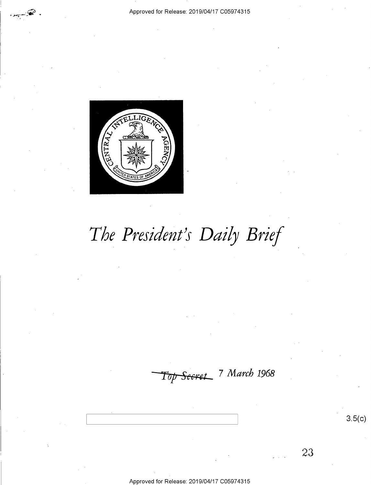

The President's Daily Brief

Top Secret 7 March 1968

 $3.5(c)$ 

23

Approved for Release: 2019/04/17 C05974315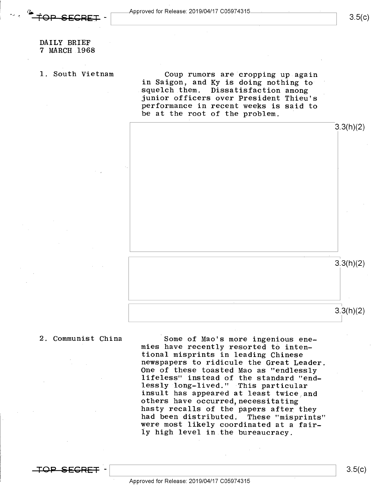$3.5(c)$ 

DAILY BRIEF 7 MARCH 1968

1. South Vietnam Coup rumors are cropping up again in Saigon, and Ky is doing nothing to<br>squelch them. Dissatisfaction among junior officers over President Thieu's performance in recent weeks is said to be at the root of the problem.



2. Communist China Some of Mao's more ingenious enemies have recently resorted to inten-<br>tional misprints in leading Chinese newspapers to ridicule the Great Leader.<br>One of these toasted Mao as "endlessly<br>lifeless" instead of the standard "end-<br>lessly long-lived." This particular insult has appeared at least twice and<br>others have occurred,necessitating<br>hasty recalls of the papers after they had been distributed. These "misprints" were most likely coordinated at a fairly high level in the bureaucracy.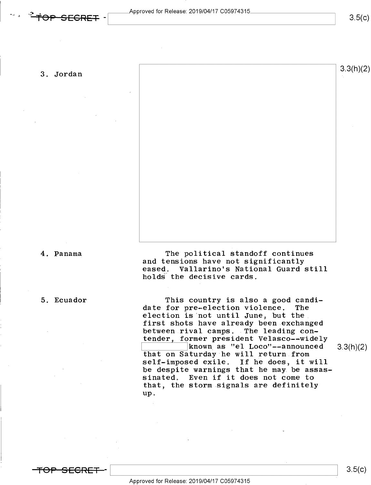$3.5(c)$ 

# 3. Jordan  $3.3(h)(2)$

"

4. Panama The political standoff continues and tensions have not significantly eased. Vallarino's National Guard still holds the decisive cards.

5. Ecuador This country is also a good candidate for pre~election violence. The election is not until June, but the first shots have already been exchanged between rival camps. The leading contender, former president Velasco--widely<br>known as "el Loco"--announced  $\frac{1}{\text{2}}$  known as "el Loco"--announced 3.3(h)(2) that on Saturday he will return from self-imposed exile. If he does, it will be despite warnings that he may.be assassinated. Even if it does not come to that, the storm signals are definitely up.

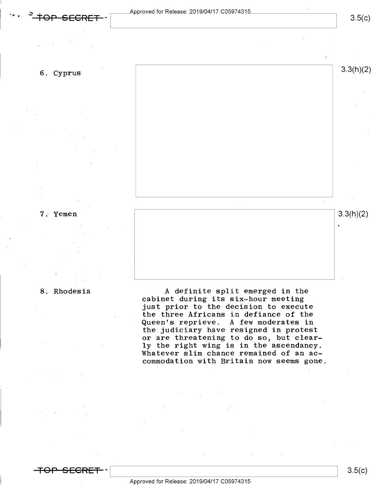3.5(c)

6. Cyprus  $3.3(n)(2)$ 

**7.** Yemen  $|3.3(h)(2)|$ 

8. Rhodesia **A** definite split emerged in the cabinet during its six~hour meeting just prior to the decision to execute the three Africans in defiance of the Queen's reprieve. A few moderates in the judiciary have resigned in protest or are threatening to do so, but clear-<br>ly the right wing is in the ascendancy. Whatever slim chance remained of an accommodation with Britain now seems gone.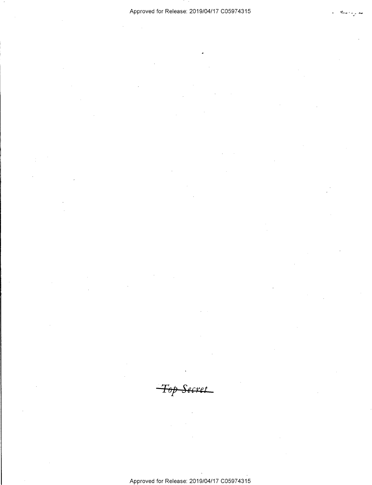-Top Secret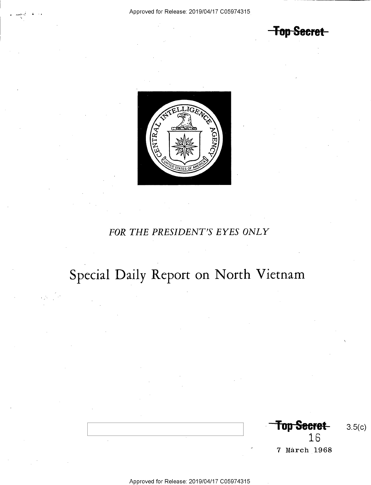**Top Secret** 



# FOR THE PRESIDENT'S EYES ONLY

# Special Daily Report on North Vietnam

Top Secret- $3.5(c)$ 16 7 March 1968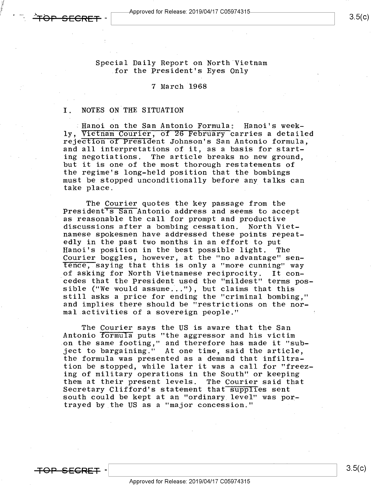$\bm{\dot{F}\Theta P\cdot SECRET}$  -  $\bm{\overline{SECRFT}}$  -  $\bm{\overline{SSCRFT}}$  -  $\bm{\overline{S}}$ 

Special Daily Report on North Vietnam for the President's Eyes Only

### 7 March 1968

### I. NOTES ON THE SITUATION

: Hanoi on the San Antonio Formula: Hanoi's week-<br>ly, Vietnam Courier, of 26 February carries a detailed rejection of President Johnson's San Antonio formula, and all interpretations of it, as a basis for starting negotiations. The article breaks no new ground, but it is one of the most thorough restatements of the regime's long-held position that the bombings must be stopped unconditionally before any talks can take place.

The Courier quotes the key passage from the<br>President's San Antonio address and seems to accept<br>as reasonable the call for prompt and productive discussions after a bombing cessation. North Vietnamese spokesmen have addressed these points repeat-<br>edly in the past two months in an effort to put Hanoi's position in the best possible light. The<br>Courier boggles, however, at the "no advantage" sen-<br>Tence, saying that this is only a "more cunning" way<br>of asking for North Vietnamese reciprocity. It conof asking for North Vietnamese reciprocity. cedes that the President used the "mildest" terms possible ("We would assume..."), but claims that this still asks a price for ending the "criminal bombing," and implies there should be "restrictions on the normal activities of a sovereign people."

The Courier says the US is aware that the San<br>Antonio <del>Tormula</del> puts "the aggressor and his victim on the same footing," and therefore has made it "subject to bargaining." At one time, said the article, the formula was presented as a demand that infiltration be stopped, while later it was a call for "freezing of military operations in the South" or keeping them at their present levels. The Courier said that Secretary Clifford's statement that supplies sent south could be kept at an "ordinary level" was portrayed by the US as a "major concession."

<del>TOP SECRET</del>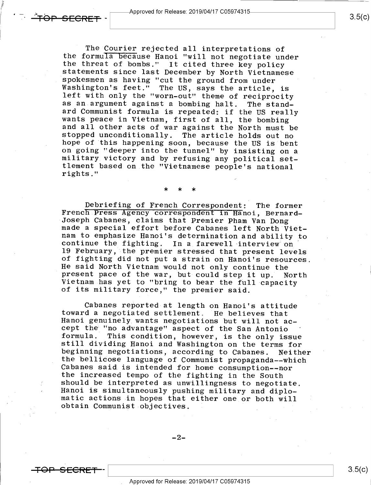$\hat{}$  TOP SECRET

The Courier rejected all interpretations of<br>the formula because Hanoi "will not negotiate under<br>the threat of bombs." It cited three key policy<br>statements since last December by North Vietnamese<br>spokesmen as having "cut th

### \* \* \*

Debriefing of French Correspondent: The former<br>French Press Agency correspondent in Hanoi, Bernard-<br>Joseph Cabanes, claims that Premier Pham Van Dong<br>made a special effort before Cabanes left North Viet-<br>nam to emphasize H of fighting did not put a strain on Hanoi's resources.<br>He said North Vietnam would not only continue the<br>present pace of the war, but could step it up. North<br>Vietnam has yet to "bring to bear the full capacity<br>of its milit

Cabanes reported at length on Hanoi's attitude<br>toward a negotiated settlement. He believes that<br>Hanoi genuinely wants negotiations but will not ac-<br>cept the "no advantage" aspect of the San Antonio<br>formula. This condition, Cabanes said is intended for home consumption--nor<br>the increased tempo of the fighting in the South<br>should be interpreted as unwillingness to negotiate.<br>Hanoi is simultaneously pushing military and diplo-<br>matic actions in

 $-2-$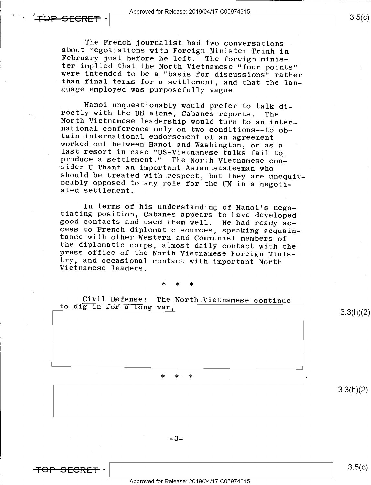$\overline{\mathsf{FQP\_SFCRFT}}$  -  $\overline{\phantom{1}}$  -  $\overline{\phantom{1}}$  Approved for Release: 2019/04/17 C05974315.

The French journalist had two conversations<br>about negotiations with Foreign Minister Trinh in<br>February just before he left. The foreign minis-<br>ter implied that the North Vietnamese "four points"<br>were intended to be a "basi

Hanoi unquestionably would prefer to talk di-<br>rectly with the US alone, Cabanes reports. The<br>North Vietnamese leadership would turn to an inter-<br>national conference only on two conditions--to ob-<br>tain international endorse produce a settlement." The North Vietnamese con-<br>sider U Thant an important Asian statesman who<br>should be treated with respect, but they are unequiv-<br>ocably opposed to any role for the UN in a negoti-<br>ated settlement.

In terms of his understanding of Hanoi's nego-<br>tiating position, Cabanes appears to have developed<br>good contacts and used them well. He had ready ac-<br>cess to French diplomatic sources, speaking acquain-<br>tance with other We try, and occasional contact with important North Vietnamese leaders.

### \* \* \*

Civil.Defense: The North Vietnamese continue to dig in for a Iong war,

### \* \* \*

3.3(h)(2)

3.3(h)(2)

3.5(C)

 $-3-$ 

<del>TOP SECRE</del>  $\blacksquare$ 

Approved for Release: 2019/O4/17 CO5974315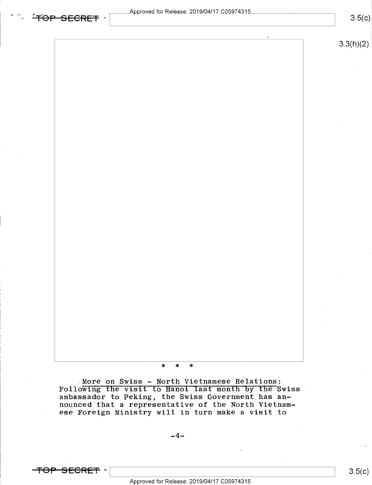## $3.3(h)(2)$

### $\ast$  $\ast$  $\ast$

More on Swiss - North Vietnamese Relations:<br>Following the visit to Hanoi last month by the Swiss ambassador to Peking, the Swiss Government has an-<br>nounced that a representative of the North Vietnamese Foreign Ministry will in turn make a visit to

 $-4-$ 

<del>TOP SECRET</del> –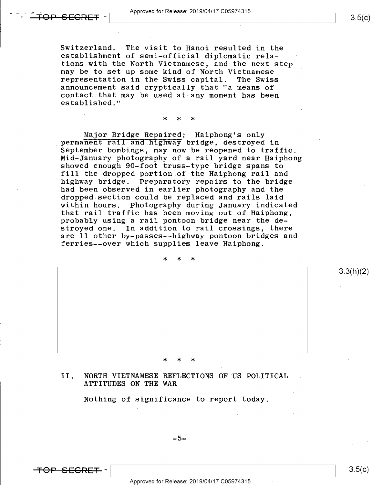'

Switzerland. The visit to Hanoi resulted in the establishment of semi-official diplomatic relations with the North Vietnamese, and the next step may be to set up some kind of North Vietnamese<br>representation in the Swiss capital. The Swiss representation in the Swiss capital. announcement said cryptically that "a means of contact that may be used at any moment has been established."

\* \* \*

Major Bridge Repaired: Haiphong's only<br>permanent rail and highway bridge, destroyed in September bombings, may now be reopened to traffic.<br>Mid-January photography of a rail yard near Haiphong showed enough 90-foot truss-type bridge spans to fill the dropped portion of the Haiphong rail and highway bridge. Preparatory repairs to the bridge had been observed in earlier photography and the dropped section could be replaced and rails laid within hours. Photography during January indicated that rail traffic has been moving out of Haiphong, probably using a rail pontoon bridge near the de stroyed one. In addition to rail crossings, there are ll other by-passes~-highway pontoon bridges and ferries--over which supplies leave Haiphong.

\* \* \* <sup>V</sup> 3.3(h)(2) \* \* \*

### II, NORTH VIETNAMESE REFLECTIONS OF US POLITICAL ATTITUDES ON THE WAR

Nothing of significance to report today.

 $-5-$ 

<del>TOP SECRET</del> –

Approved for Release: 2019/O4/17 CO5974315

 $3.5(c)$